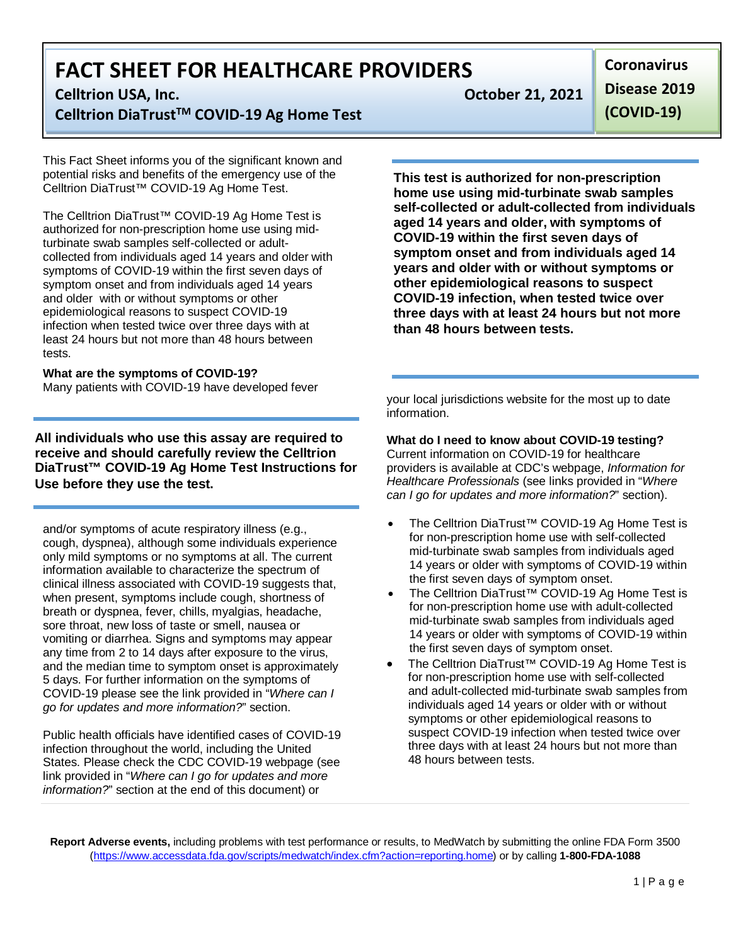**Celltrion USA, Inc. October 21, 2021 Celltrion DiaTrustTM COVID-19 Ag Home Test**

This Fact Sheet informs you of the significant known and potential risks and benefits of the emergency use of the Celltrion DiaTrust™ COVID-19 Ag Home Test.

The Celltrion DiaTrust™ COVID-19 Ag Home Test is authorized for non-prescription home use using midturbinate swab samples self-collected or adultcollected from individuals aged 14 years and older with symptoms of COVID-19 within the first seven days of symptom onset and from individuals aged 14 years and older with or without symptoms or other epidemiological reasons to suspect COVID-19 infection when tested twice over three days with at least 24 hours but not more than 48 hours between tests

#### **What are the symptoms of COVID-19?**

Many patients with COVID-19 have developed fever

**All individuals who use this assay are required to receive and should carefully review the Celltrion DiaTrust™ COVID-19 Ag Home Test Instructions for Use before they use the test.**

and/or symptoms of acute respiratory illness (e.g., cough, dyspnea), although some individuals experience only mild symptoms or no symptoms at all. The current information available to characterize the spectrum of clinical illness associated with COVID-19 suggests that, when present, symptoms include cough, shortness of breath or dyspnea, fever, chills, myalgias, headache, sore throat, new loss of taste or smell, nausea or vomiting or diarrhea. Signs and symptoms may appear any time from 2 to 14 days after exposure to the virus, and the median time to symptom onset is approximately 5 days. For further information on the symptoms of COVID-19 please see the link provided in "*Where can I go for updates and more information?*" section.

Public health officials have identified cases of COVID-19 infection throughout the world, including the United States. Please check the CDC COVID-19 webpage (see link provided in "*Where can I go for updates and more information?*" section at the end of this document) or

**Coronavirus Disease 2019 (COVID-19)**

**This test is authorized for non-prescription home use using mid-turbinate swab samples self-collected or adult-collected from individuals aged 14 years and older, with symptoms of COVID-19 within the first seven days of symptom onset and from individuals aged 14 years and older with or without symptoms or other epidemiological reasons to suspect COVID-19 infection, when tested twice over three days with at least 24 hours but not more than 48 hours between tests.**

your local jurisdictions website for the most up to date information.

**What do I need to know about COVID-19 testing?** Current information on COVID-19 for healthcare providers is available at CDC's webpage, *Information for Healthcare Professionals* (see links provided in "*Where can I go for updates and more information?*" section).

- The Celltrion DiaTrust<sup>™</sup> COVID-19 Ag Home Test is for non-prescription home use with self-collected mid-turbinate swab samples from individuals aged 14 years or older with symptoms of COVID-19 within the first seven days of symptom onset.
- The Celltrion DiaTrust™ COVID-19 Ag Home Test is for non-prescription home use with adult-collected mid-turbinate swab samples from individuals aged 14 years or older with symptoms of COVID-19 within the first seven days of symptom onset.
- The Celltrion DiaTrust™ COVID-19 Ag Home Test is for non-prescription home use with self-collected and adult-collected mid-turbinate swab samples from individuals aged 14 years or older with or without symptoms or other epidemiological reasons to suspect COVID-19 infection when tested twice over three days with at least 24 hours but not more than 48 hours between tests.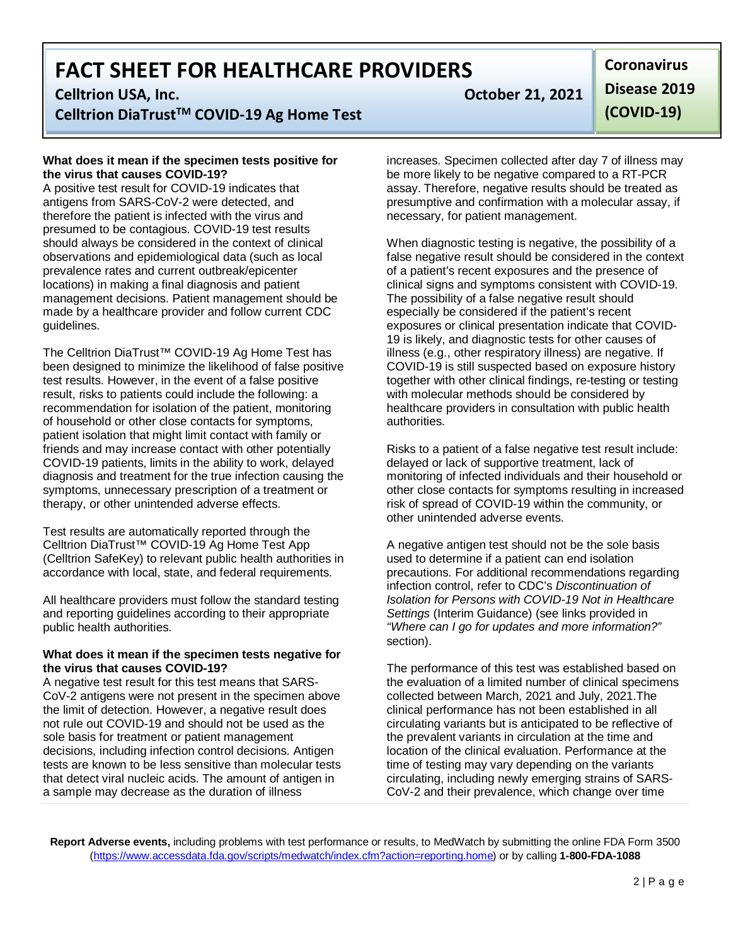### **Celltrion USA, Inc. October 21, 2021**

**Celltrion DiaTrustTM COVID-19 Ag Home Test**

#### **What does it mean if the specimen tests positive for the virus that causes COVID-19?**

A positive test result for COVID-19 indicates that antigens from SARS-CoV-2 were detected, and therefore the patient is infected with the virus and presumed to be contagious. COVID-19 test results should always be considered in the context of clinical observations and epidemiological data (such as local prevalence rates and current outbreak/epicenter locations) in making a final diagnosis and patient management decisions. Patient management should be made by a healthcare provider and follow current CDC guidelines.

The Celltrion DiaTrust™ COVID-19 Ag Home Test has been designed to minimize the likelihood of false positive test results. However, in the event of a false positive result, risks to patients could include the following: a recommendation for isolation of the patient, monitoring of household or other close contacts for symptoms, patient isolation that might limit contact with family or friends and may increase contact with other potentially COVID-19 patients, limits in the ability to work, delayed diagnosis and treatment for the true infection causing the symptoms, unnecessary prescription of a treatment or therapy, or other unintended adverse effects.

Test results are automatically reported through the Celltrion DiaTrust™ COVID-19 Ag Home Test App (Celltrion SafeKey) to relevant public health authorities in accordance with local, state, and federal requirements.

All healthcare providers must follow the standard testing and reporting guidelines according to their appropriate public health authorities.

#### **What does it mean if the specimen tests negative for the virus that causes COVID-19?**

A negative test result for this test means that SARS-CoV-2 antigens were not present in the specimen above the limit of detection. However, a negative result does not rule out COVID-19 and should not be used as the sole basis for treatment or patient management decisions, including infection control decisions. Antigen tests are known to be less sensitive than molecular tests that detect viral nucleic acids. The amount of antigen in a sample may decrease as the duration of illness

**Coronavirus Disease 2019 (COVID-19)**

increases. Specimen collected after day 7 of illness may be more likely to be negative compared to a RT-PCR assay. Therefore, negative results should be treated as presumptive and confirmation with a molecular assay, if necessary, for patient management.

When diagnostic testing is negative, the possibility of a false negative result should be considered in the context of a patient's recent exposures and the presence of clinical signs and symptoms consistent with COVID-19. The possibility of a false negative result should especially be considered if the patient's recent exposures or clinical presentation indicate that COVID-19 is likely, and diagnostic tests for other causes of illness (e.g., other respiratory illness) are negative. If COVID-19 is still suspected based on exposure history together with other clinical findings, re-testing or testing with molecular methods should be considered by healthcare providers in consultation with public health authorities.

Risks to a patient of a false negative test result include: delayed or lack of supportive treatment, lack of monitoring of infected individuals and their household or other close contacts for symptoms resulting in increased risk of spread of COVID-19 within the community, or other unintended adverse events.

A negative antigen test should not be the sole basis used to determine if a patient can end isolation precautions. For additional recommendations regarding infection control, refer to CDC's *Discontinuation of Isolation for Persons with COVID-19 Not in Healthcare Settings* (Interim Guidance) (see links provided in *"Where can I go for updates and more information?"*  section).

The performance of this test was established based on the evaluation of a limited number of clinical specimens collected between March, 2021 and July, 2021.The clinical performance has not been established in all circulating variants but is anticipated to be reflective of the prevalent variants in circulation at the time and location of the clinical evaluation. Performance at the time of testing may vary depending on the variants circulating, including newly emerging strains of SARS-CoV-2 and their prevalence, which change over time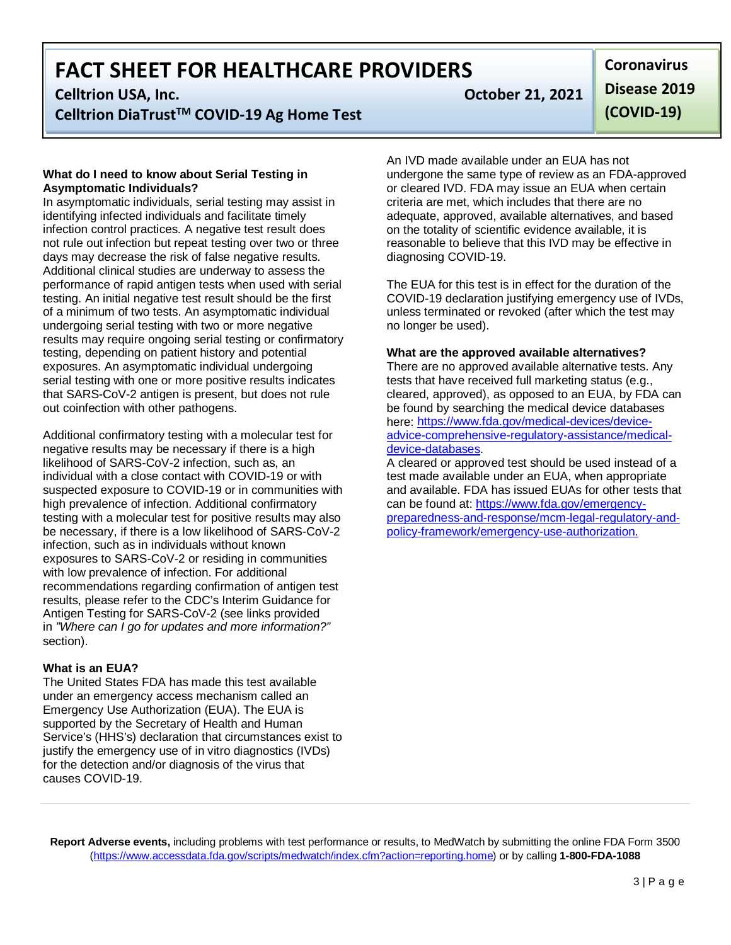### **Celltrion USA, Inc. October 21, 2021 Celltrion DiaTrustTM COVID-19 Ag Home Test**

#### **What do I need to know about Serial Testing in Asymptomatic Individuals?**

In asymptomatic individuals, serial testing may assist in identifying infected individuals and facilitate timely infection control practices. A negative test result does not rule out infection but repeat testing over two or three days may decrease the risk of false negative results. Additional clinical studies are underway to assess the performance of rapid antigen tests when used with serial testing. An initial negative test result should be the first of a minimum of two tests. An asymptomatic individual undergoing serial testing with two or more negative results may require ongoing serial testing or confirmatory testing, depending on patient history and potential exposures. An asymptomatic individual undergoing serial testing with one or more positive results indicates that SARS-CoV-2 antigen is present, but does not rule out coinfection with other pathogens.

Additional confirmatory testing with a molecular test for negative results may be necessary if there is a high likelihood of SARS-CoV-2 infection, such as, an individual with a close contact with COVID-19 or with suspected exposure to COVID-19 or in communities with high prevalence of infection. Additional confirmatory testing with a molecular test for positive results may also be necessary, if there is a low likelihood of SARS-CoV-2 infection, such as in individuals without known exposures to SARS-CoV-2 or residing in communities with low prevalence of infection. For additional recommendations regarding confirmation of antigen test results, please refer to the CDC's Interim Guidance for Antigen Testing for SARS-CoV-2 (see links provided in *"Where can I go for updates and more information?"* section).

#### **What is an EUA?**

The United States FDA has made this test available under an emergency access mechanism called an Emergency Use Authorization (EUA). The EUA is supported by the Secretary of Health and Human Service's (HHS's) declaration that circumstances exist to justify the emergency use of in vitro diagnostics (IVDs) for the detection and/or diagnosis of the virus that causes COVID-19.

**Coronavirus Disease 2019 (COVID-19)**

An IVD made available under an EUA has not undergone the same type of review as an FDA-approved or cleared IVD. FDA may issue an EUA when certain criteria are met, which includes that there are no adequate, approved, available alternatives, and based on the totality of scientific evidence available, it is reasonable to believe that this IVD may be effective in diagnosing COVID-19.

The EUA for this test is in effect for the duration of the COVID-19 declaration justifying emergency use of IVDs, unless terminated or revoked (after which the test may no longer be used).

#### **What are the approved available alternatives?**

There are no approved available alternative tests. Any tests that have received full marketing status (e.g., cleared, approved), as opposed to an EUA, by FDA can be found by searching the medical device databases here: [https://www.fda.gov/medical-devices/device](https://www.fda.gov/medical-devices/device-advice-comprehensive-regulatory-assistance/medical-device-databases)[advice-comprehensive-regulatory-assistance/medical](https://www.fda.gov/medical-devices/device-advice-comprehensive-regulatory-assistance/medical-device-databases)[device-databases.](https://www.fda.gov/medical-devices/device-advice-comprehensive-regulatory-assistance/medical-device-databases)

A cleared or approved test should be used instead of a test made available under an EUA, when appropriate and available. FDA has issued EUAs for other tests that can be found at: [https://www.fda.gov/emergency](https://www.fda.gov/emergency-preparedness-and-response/mcm-legal-regulatory-and-policy-framework/emergency-use-authorization)[preparedness-and-response/mcm-legal-regulatory-and](https://www.fda.gov/emergency-preparedness-and-response/mcm-legal-regulatory-and-policy-framework/emergency-use-authorization)[policy-framework/emergency-use-authorization.](https://www.fda.gov/emergency-preparedness-and-response/mcm-legal-regulatory-and-policy-framework/emergency-use-authorization)